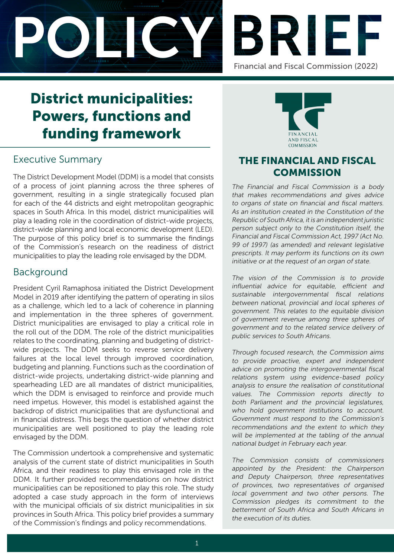



# District municipalities: Powers, functions and funding framework

# Executive Summary

The District Development Model (DDM) is a model that consists of a process of joint planning across the three spheres of government, resulting in a single strategically focused plan for each of the 44 districts and eight metropolitan geographic spaces in South Africa. In this model, district municipalities will play a leading role in the coordination of district-wide projects, district-wide planning and local economic development (LED). The purpose of this policy brief is to summarise the findings of the Commission's research on the readiness of district municipalities to play the leading role envisaged by the DDM.

## Background

President Cyril Ramaphosa initiated the District Development Model in 2019 after identifying the pattern of operating in silos as a challenge, which led to a lack of coherence in planning and implementation in the three spheres of government. District municipalities are envisaged to play a critical role in the roll out of the DDM. The role of the district municipalities relates to the coordinating, planning and budgeting of districtwide projects. The DDM seeks to reverse service delivery failures at the local level through improved coordination, budgeting and planning. Functions such as the coordination of district-wide projects, undertaking district-wide planning and spearheading LED are all mandates of district municipalities, which the DDM is envisaged to reinforce and provide much need impetus. However, this model is established against the backdrop of district municipalities that are dysfunctional and in financial distress. This begs the question of whether district municipalities are well positioned to play the leading role envisaged by the DDM.

The Commission undertook a comprehensive and systematic analysis of the current state of district municipalities in South Africa, and their readiness to play this envisaged role in the DDM. It further provided recommendations on how district municipalities can be repositioned to play this role. The study adopted a case study approach in the form of interviews with the municipal officials of six district municipalities in six provinces in South Africa. This policy brief provides a summary of the Commission's findings and policy recommendations.



# THE FINANCIAL AND FISCAL **COMMISSION**

The Financial and Fiscal Commission is a body that makes recommendations and gives advice to organs of state on financial and fiscal matters. As an institution created in the Constitution of the Republic of South Africa, it is an independent juristic person subject only to the Constitution itself, the Financial and Fiscal Commission Act, 1997 (Act No. 99 of 1997) (as amended) and relevant legislative prescripts. It may perform its functions on its own initiative or at the request of an organ of state.

The vision of the Commission is to provide influential advice for equitable, efficient and sustainable intergovernmental fiscal relations between national, provincial and local spheres of government. This relates to the equitable division of government revenue among three spheres of government and to the related service delivery of public services to South Africans.

Through focused research, the Commission aims to provide proactive, expert and independent advice on promoting the intergovernmental fiscal relations system using evidence-based policy analysis to ensure the realisation of constitutional values. The Commission reports directly to both Parliament and the provincial legislatures, who hold government institutions to account. Government must respond to the Commission's recommendations and the extent to which they will be implemented at the tabling of the annual national budget in February each year.

The Commission consists of commissioners appointed by the President: the Chairperson and Deputy Chairperson, three representatives of provinces, two representatives of organised local government and two other persons. The Commission pledges its commitment to the betterment of South Africa and South Africans in the execution of its duties.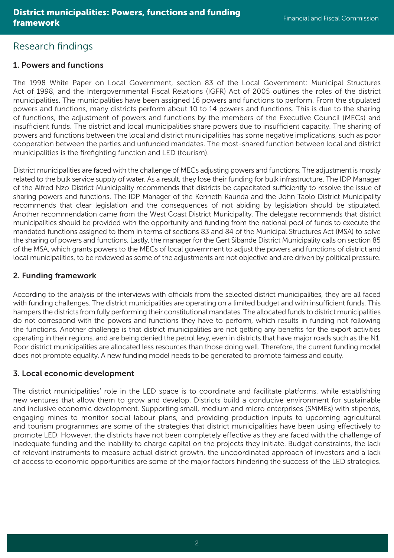## Research findings

## 1. Powers and functions

The 1998 White Paper on Local Government, section 83 of the Local Government: Municipal Structures Act of 1998, and the Intergovernmental Fiscal Relations (IGFR) Act of 2005 outlines the roles of the district municipalities. The municipalities have been assigned 16 powers and functions to perform. From the stipulated powers and functions, many districts perform about 10 to 14 powers and functions. This is due to the sharing of functions, the adjustment of powers and functions by the members of the Executive Council (MECs) and insufficient funds. The district and local municipalities share powers due to insufficient capacity. The sharing of powers and functions between the local and district municipalities has some negative implications, such as poor cooperation between the parties and unfunded mandates. The most-shared function between local and district municipalities is the firefighting function and LED (tourism).

District municipalities are faced with the challenge of MECs adjusting powers and functions. The adjustment is mostly related to the bulk service supply of water. As a result, they lose their funding for bulk infrastructure. The IDP Manager of the Alfred Nzo District Municipality recommends that districts be capacitated sufficiently to resolve the issue of sharing powers and functions. The IDP Manager of the Kenneth Kaunda and the John Taolo District Municipality recommends that clear legislation and the consequences of not abiding by legislation should be stipulated. Another recommendation came from the West Coast District Municipality. The delegate recommends that district municipalities should be provided with the opportunity and funding from the national pool of funds to execute the mandated functions assigned to them in terms of sections 83 and 84 of the Municipal Structures Act (MSA) to solve the sharing of powers and functions. Lastly, the manager for the Gert Sibande District Municipality calls on section 85 of the MSA, which grants powers to the MECs of local government to adjust the powers and functions of district and local municipalities, to be reviewed as some of the adjustments are not objective and are driven by political pressure.

## 2. Funding framework

According to the analysis of the interviews with officials from the selected district municipalities, they are all faced with funding challenges. The district municipalities are operating on a limited budget and with insufficient funds. This hampers the districts from fully performing their constitutional mandates. The allocated funds to district municipalities do not correspond with the powers and functions they have to perform, which results in funding not following the functions. Another challenge is that district municipalities are not getting any benefits for the export activities operating in their regions, and are being denied the petrol levy, even in districts that have major roads such as the N1. Poor district municipalities are allocated less resources than those doing well. Therefore, the current funding model does not promote equality. A new funding model needs to be generated to promote fairness and equity.

## 3. Local economic development

The district municipalities' role in the LED space is to coordinate and facilitate platforms, while establishing new ventures that allow them to grow and develop. Districts build a conducive environment for sustainable and inclusive economic development. Supporting small, medium and micro enterprises (SMMEs) with stipends, engaging mines to monitor social labour plans, and providing production inputs to upcoming agricultural and tourism programmes are some of the strategies that district municipalities have been using effectively to promote LED. However, the districts have not been completely effective as they are faced with the challenge of inadequate funding and the inability to charge capital on the projects they initiate. Budget constraints, the lack of relevant instruments to measure actual district growth, the uncoordinated approach of investors and a lack of access to economic opportunities are some of the major factors hindering the success of the LED strategies.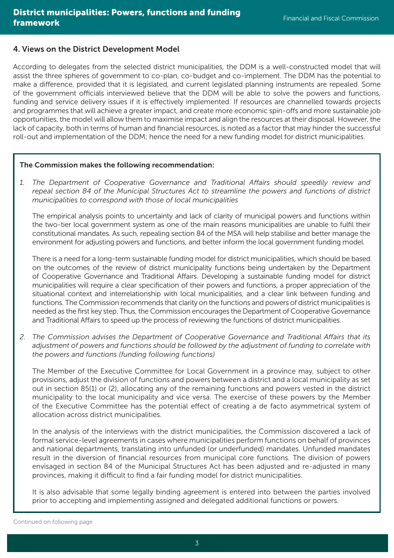#### 4. Views on the District Development Model

According to delegates from the selected district municipalities, the DDM is a well-constructed model that will assist the three spheres of government to co-plan, co-budget and co-implement. The DDM has the potential to make a difference, provided that it is legislated, and current legislated planning instruments are repealed. Some of the government officials interviewed believe that the DDM will be able to solve the powers and functions, funding and service delivery issues if it is effectively implemented. If resources are channelled towards projects and programmes that will achieve a greater impact, and create more economic spin-offs and more sustainable job opportunities, the model will allow them to maximise impact and align the resources at their disposal. However, the lack of capacity, both in terms of human and financial resources, is noted as a factor that may hinder the successful roll-out and implementation of the DDM; hence the need for a new funding model for district municipalities.

#### The Commission makes the following recommendation:

*1. The Department of Cooperative Governance and Traditional Affairs should speedily review and repeal section 84 of the Municipal Structures Act to streamline the powers and functions of district municipalities to correspond with those of local municipalities*

The empirical analysis points to uncertainty and lack of clarity of municipal powers and functions within the two-tier local government system as one of the main reasons municipalities are unable to fulfil their constitutional mandates. As such, repealing section 84 of the MSA will help stabilise and better manage the environment for adjusting powers and functions, and better inform the local government funding model.

There is a need for a long-term sustainable funding model for district municipalities, which should be based on the outcomes of the review of district municipality functions being undertaken by the Department of Cooperative Governance and Traditional Affairs. Developing a sustainable funding model for district municipalities will require a clear specification of their powers and functions, a proper appreciation of the situational context and interrelationship with local municipalities, and a clear link between funding and functions. The Commission recommends that clarity on the functions and powers of district municipalities is needed as the first key step. Thus, the Commission encourages the Department of Cooperative Governance and Traditional Affairs to speed up the process of reviewing the functions of district municipalities.

*2. The Commission advises the Department of Cooperative Governance and Traditional Affairs that its adjustment of powers and functions should be followed by the adjustment of funding to correlate with the powers and functions (funding following functions)*

The Member of the Executive Committee for Local Government in a province may, subject to other provisions, adjust the division of functions and powers between a district and a local municipality as set out in section 85(1) or (2), allocating any of the remaining functions and powers vested in the district municipality to the local municipality and vice versa. The exercise of these powers by the Member of the Executive Committee has the potential effect of creating a de facto asymmetrical system of allocation across district municipalities.

In the analysis of the interviews with the district municipalities, the Commission discovered a lack of formal service-level agreements in cases where municipalities perform functions on behalf of provinces and national departments, translating into unfunded (or underfunded) mandates. Unfunded mandates result in the diversion of financial resources from municipal core functions. The division of powers envisaged in section 84 of the Municipal Structures Act has been adjusted and re-adjusted in many provinces, making it difficult to find a fair funding model for district municipalities.

It is also advisable that some legally binding agreement is entered into between the parties involved prior to accepting and implementing assigned and delegated additional functions or powers.

Continued on following page